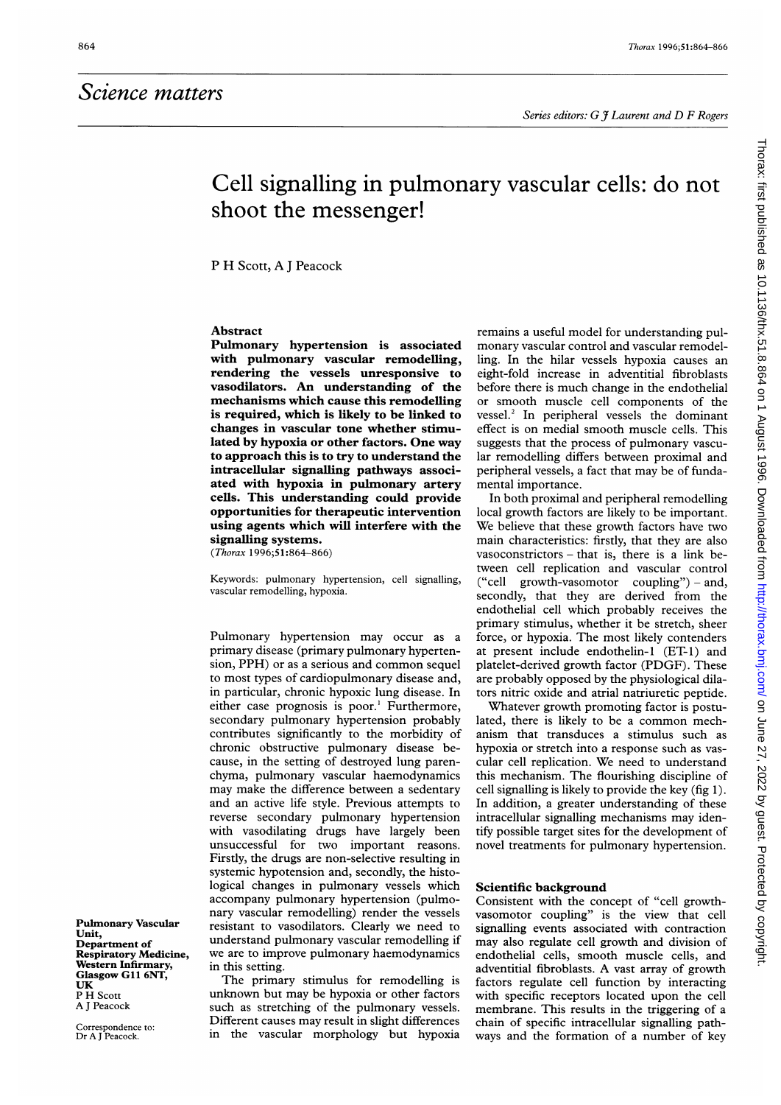# Cell signalling in pulmonary vascular cells: do not shoot the messenger!

P H Scott, A <sup>J</sup> Peacock

### Abstract

Pulmonary hypertension is associated with pulmonary vascular remodelling, rendering the vessels unresponsive to vasodilators. An understanding of the mechanisms which cause this remodelling is required, which is likely to be linked to changes in vascular tone whether stimulated by hypoxia or other factors. One way to approach this is to try to understand the intracellular signalling pathways associated with hypoxia in pulmonary artery cells. This understanding could provide opportunities for therapeutic intervention using agents which will interfere with the signalling systems.

(Thorax 1996;51:864-866)

Keywords: pulmonary hypertension, cell signalling, vascular remodelling, hypoxia.

Pulmonary hypertension may occur as a primary disease (primary pulmonary hypertension, PPH) or as <sup>a</sup> serious and common sequel to most types of cardiopulmonary disease and, in particular, chronic hypoxic lung disease. In either case prognosis is poor.' Furthermore, secondary pulmonary hypertension probably contributes significantly to the morbidity of chronic obstructive pulmonary disease because, in the setting of destroyed lung parenchyma, pulmonary vascular haemodynamics may make the difference between a sedentary and an active life style. Previous attempts to reverse secondary pulmonary hypertension with vasodilating drugs have largely been unsuccessful for two important reasons. Firstly, the drugs are non-selective resulting in systemic hypotension and, secondly, the histological changes in pulmonary vessels which accompany pulmonary hypertension (pulmonary vascular remodelling) render the vessels resistant to vasodilators. Clearly we need to understand pulmonary vascular remodelling if we are to improve pulmonary haemodynamics in this setting.

The primary stimulus for remodelling is unknown but may be hypoxia or other factors such as stretching of the pulmonary vessels. Different causes may result in slight differences in the vascular morphology but hypoxia remains a useful model for understanding pulmonary vascular control and vascular remodelling. In the hilar vessels hypoxia causes an eight-fold increase in adventitial fibroblasts before there is much change in the endothelial or smooth muscle cell components of the vessel.<sup>2</sup> In peripheral vessels the dominant effect is on medial smooth muscle cells. This suggests that the process of pulmonary vascular remodelling differs between proximal and peripheral vessels, a fact that may be of fundamental importance.

In both proximal and peripheral remodelling local growth factors are likely to be important. We believe that these growth factors have two main characteristics: firstly, that they are also vasoconstrictors - that is, there is a link between cell replication and vascular control ("cell growth-vasomotor coupling") – and, secondly, that they are derived from the endothelial cell which probably receives the primary stimulus, whether it be stretch, sheer force, or hypoxia. The most likely contenders at present include endothelin-1 (ET-1) and platelet-derived growth factor (PDGF). These are probably opposed by the physiological dilators nitric oxide and atrial natriuretic peptide.

Whatever growth promoting factor is postulated, there is likely to be <sup>a</sup> common mechanism that transduces a stimulus such as hypoxia or stretch into a response such as vascular cell replication. We need to understand this mechanism. The flourishing discipline of cell signalling is likely to provide the key (fig 1). In addition, a greater understanding of these intracellular signalling mechanisms may identify possible target sites for the development of novel treatments for pulmonary hypertension.

#### Scientific background

Consistent with the concept of "cell growthvasomotor coupling" is the view that cell signalling events associated with contraction may also regulate cell growth and division of endothelial cells, smooth muscle cells, and adventitial fibroblasts. A vast array of growth factors regulate cell function by interacting with specific receptors located upon the cell membrane. This results in the triggering of a chain of specific intracellular signalling pathways and the formation of a number of key

Pulmonary Vascular Unit, Department of Respiratory Medicine, Western Infirmary, Glasgow GIl 6NT, UK PH Scott A <sup>J</sup> Peacock

Correspondence to: Dr A <sup>J</sup> Peacock.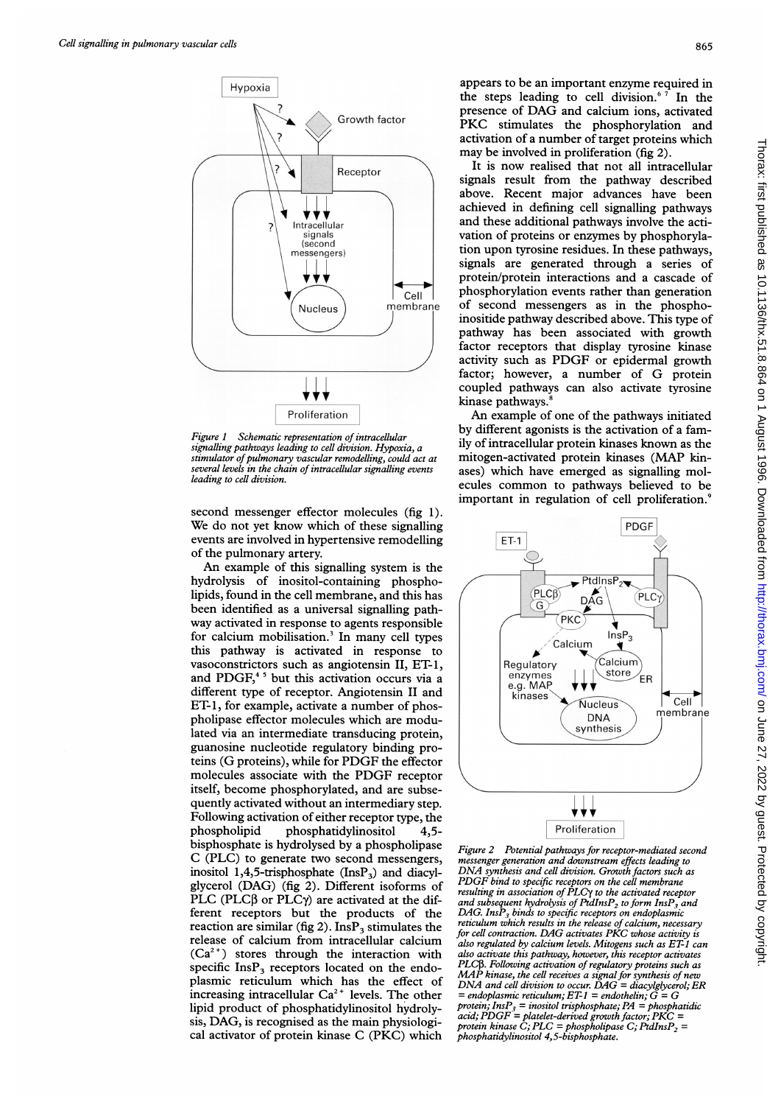

Figure 1 Schematic representation of intracellular signalling pathways leading to cell division. Hypoxia, a stimulator of pulmonary vascular remodelling, could act at<br>several levels in the chain of intracellular signalling events leading to cell division.

second messenger effector molecules (fig 1). We do not yet know which of these signalling events are involved in hypertensive remodelling of the pulmonary artery.

An example of this signalling system is the hydrolysis of inositol-containing phospholipids, found in the cell membrane, and this has been identified as a universal signalling pathway activated in response to agents responsible for calcium mobilisation.<sup>3</sup> In many cell types this pathway is activated in response to vasoconstrictors such as angiotensin II, ET-1, and PDGF,<sup>45</sup> but this activation occurs via a different type of receptor. Angiotensin II and ET-1, for example, activate a number of phospholipase effector molecules which are modulated via an intermediate transducing protein, guanosine nucleotide regulatory binding proteins (G proteins), while for PDGF the effector molecules associate with the PDGF receptor itself, become phosphorylated, and are subsequently activated without an intermediary step. Following activation of either receptor type, the<br>phospholipid phosphatidylinositol 4.5phosphatidylinositol 4,5bisphosphate is hydrolysed by a phospholipase C (PLC) to generate two second messengers, inositol 1,4,5-trisphosphate  $(InsP<sub>3</sub>)$  and diacylglycerol (DAG) (fig 2). Different isoforms of PLC (PLC $\beta$  or PLC $\gamma$ ) are activated at the different receptors but the products of the reaction are similar (fig 2). Ins $P_3$  stimulates the release of calcium from intracellular calcium  $(Ca^{2+})$  stores through the interaction with specific  $InsP<sub>3</sub>$  receptors located on the endoplasmic reticulum which has the effect of increasing intracellular  $Ca^{2+}$  levels. The other lipid product of phosphatidylinositol hydrolysis, DAG, is recognised as the main physiological activator of protein kinase C (PKC) which

appears to be an important enzyme required in the steps leading to cell division.<sup>67</sup> In the presence of DAG and calcium ions, activated PKC stimulates the phosphorylation and activation of a number of target proteins which may be involved in proliferation (fig 2).

It is now realised that not all intracellular signals result from the pathway described above. Recent major advances have been achieved in defining cell signalling pathways and these additional pathways involve the activation of proteins or enzymes by phosphorylation upon tyrosine residues. In these pathways, signals are generated through a series of protein/protein interactions and a cascade of phosphorylation events rather than generation of second messengers as in the phosphoinositide pathway described above. This type of pathway has been associated with growth factor receptors that display tyrosine kinase activity such as PDGF or epidermal growth factor; however, <sup>a</sup> number of G protein coupled pathways can also activate tyrosine kinase pathways.<sup>8</sup>

An example of one of the pathways initiated by different agonists is the activation of a family of intracellular protein kinases known as the mitogen-activated protein kinases (MAP kinases) which have emerged as signalling molecules common to pathways believed to be important in regulation of cell proliferation.9



Figure 2 Potential pathways for receptor-mediated second messenger generation and downstream effects leading to DNA synthesis and cell division. Growth factors such as PDGF bind to specific receptors on the cell membrane resulting in association of PLC $\gamma$  to the activated receptor<br>and subsequent hydrolysis of PtdInsP<sub>2</sub> to form InsP<sub>3</sub> and DAG. Ins $P_3$  binds to specific receptors on endoplasmic reticulum which results in the release of calcium, necessary for cell contraction. DAG activates PKC whose activity is also regulated by calcium levels. Mitogens such as ET-1 can also activate this pathway, however, this receptor activates PLC $\beta$ . Following activation of regulatory proteins such as MAP kinase, the cell receives a signal for synthesis of new DNA and cell division to occur. DAG = diacylglycerol; ER = endoplasmic reticulum;  $ET-1$  = endothelin;  $G = G$ protein;  $InsP<sub>3</sub> = inositol trisphosphate; PA = phosphatidic$ acid;  $\widehat{PDGF} =$  platelet-derived growth factor;  $\widehat{PKC} =$  protein kinase C; PLC = phospholipase C; PtdInsP<sub>2</sub> = phosphatidylinositol 4,5-bisphosphate.